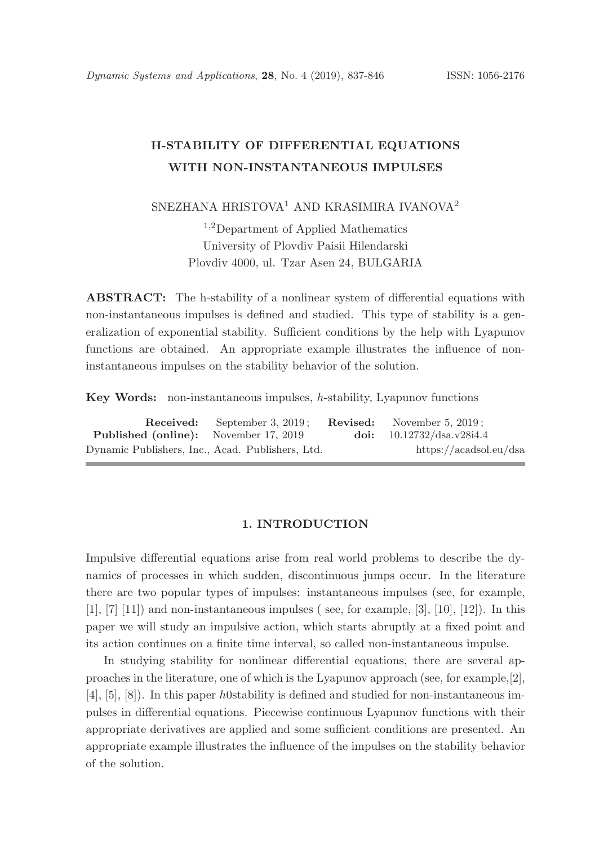# H-STABILITY OF DIFFERENTIAL EQUATIONS WITH NON-INSTANTANEOUS IMPULSES

SNEZHANA HRISTOVA<sup>1</sup> AND KRASIMIRA IVANOVA<sup>2</sup>

<sup>1</sup>,<sup>2</sup>Department of Applied Mathematics University of Plovdiv Paisii Hilendarski Plovdiv 4000, ul. Tzar Asen 24, BULGARIA

ABSTRACT: The h-stability of a nonlinear system of differential equations with non-instantaneous impulses is defined and studied. This type of stability is a generalization of exponential stability. Sufficient conditions by the help with Lyapunov functions are obtained. An appropriate example illustrates the influence of noninstantaneous impulses on the stability behavior of the solution.

Key Words: non-instantaneous impulses, h-stability, Lyapunov functions

|                                                  | <b>Received:</b> September 3, 2019; | <b>Revised:</b> November 5, 2019; |
|--------------------------------------------------|-------------------------------------|-----------------------------------|
| <b>Published (online):</b> November 17, 2019     |                                     | doi: $10.12732/dsa.v28i4.4$       |
| Dynamic Publishers, Inc., Acad. Publishers, Ltd. |                                     | https://acadsol.eu/dsa            |

#### 1. INTRODUCTION

Impulsive differential equations arise from real world problems to describe the dynamics of processes in which sudden, discontinuous jumps occur. In the literature there are two popular types of impulses: instantaneous impulses (see, for example,  $[1], [7]$   $[11]$  and non-instantaneous impulses (see, for example,  $[3], [10], [12]$ ). In this paper we will study an impulsive action, which starts abruptly at a fixed point and its action continues on a finite time interval, so called non-instantaneous impulse.

In studying stability for nonlinear differential equations, there are several approaches in the literature, one of which is the Lyapunov approach (see, for example,[2], [4], [5], [8]). In this paper h0stability is defined and studied for non-instantaneous impulses in differential equations. Piecewise continuous Lyapunov functions with their appropriate derivatives are applied and some sufficient conditions are presented. An appropriate example illustrates the influence of the impulses on the stability behavior of the solution.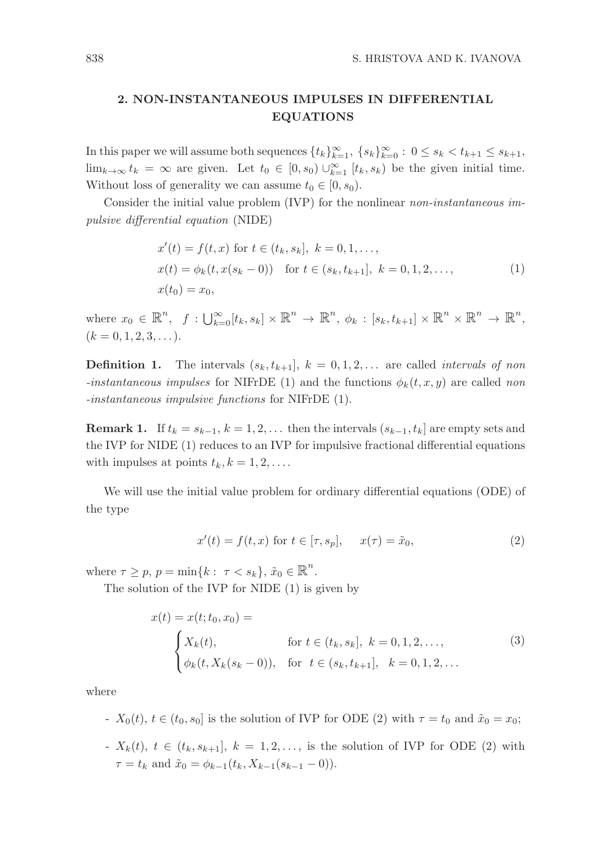# 2. NON-INSTANTANEOUS IMPULSES IN DIFFERENTIAL EQUATIONS

In this paper we will assume both sequences  $\{t_k\}_{k=1}^{\infty}$ ,  $\{s_k\}_{k=0}^{\infty}$ :  $0 \le s_k < t_{k+1} \le s_{k+1}$ ,  $\lim_{k\to\infty} t_k = \infty$  are given. Let  $t_0 \in [0, s_0] \cup_{k=1}^{\infty} [t_k, s_k]$  be the given initial time. Without loss of generality we can assume  $t_0 \in [0, s_0)$ .

Consider the initial value problem (IVP) for the nonlinear non-instantaneous impulsive differential equation (NIDE)

$$
x'(t) = f(t, x) \text{ for } t \in (t_k, s_k], \ k = 0, 1, ...,
$$
  
\n
$$
x(t) = \phi_k(t, x(s_k - 0)) \text{ for } t \in (s_k, t_{k+1}], \ k = 0, 1, 2, ...,
$$
  
\n
$$
x(t_0) = x_0,
$$
\n(1)

where  $x_0 \in \mathbb{R}^n$ ,  $f: \bigcup_{k=0}^{\infty} [t_k, s_k] \times \mathbb{R}^n \to \mathbb{R}^n$ ,  $\phi_k: [s_k, t_{k+1}] \times \mathbb{R}^n \times \mathbb{R}^n \to \mathbb{R}^n$ ,  $(k = 0, 1, 2, 3, \ldots).$ 

**Definition 1.** The intervals  $(s_k, t_{k+1}], k = 0, 1, 2, \ldots$  are called *intervals of non* -instantaneous impulses for NIFrDE (1) and the functions  $\phi_k(t, x, y)$  are called non -instantaneous impulsive functions for NIFrDE (1).

**Remark 1.** If  $t_k = s_{k-1}, k = 1, 2, \ldots$  then the intervals  $(s_{k-1}, t_k]$  are empty sets and the IVP for NIDE (1) reduces to an IVP for impulsive fractional differential equations with impulses at points  $t_k, k = 1, 2, \ldots$ .

We will use the initial value problem for ordinary differential equations (ODE) of the type

$$
x'(t) = f(t, x) \text{ for } t \in [\tau, s_p], \quad x(\tau) = \tilde{x}_0,
$$
\n
$$
(2)
$$

where  $\tau \geq p, p = \min\{k : \tau < s_k\}, \tilde{x}_0 \in \mathbb{R}^n$ .

The solution of the IVP for NIDE (1) is given by

$$
x(t) = x(t; t_0, x_0) =
$$
  
\n
$$
\begin{cases}\nX_k(t), & \text{for } t \in (t_k, s_k], \ k = 0, 1, 2, ..., \\
\phi_k(t, X_k(s_k - 0)), & \text{for } t \in (s_k, t_{k+1}], \ k = 0, 1, 2, ... \n\end{cases}
$$
\n(3)

where

-  $X_0(t)$ ,  $t \in (t_0, s_0]$  is the solution of IVP for ODE (2) with  $\tau = t_0$  and  $\tilde{x}_0 = x_0$ ;

-  $X_k(t)$ ,  $t \in (t_k, s_{k+1}], k = 1, 2, \ldots$ , is the solution of IVP for ODE (2) with  $\tau = t_k$  and  $\tilde{x}_0 = \phi_{k-1}(t_k, X_{k-1}(s_{k-1} - 0)).$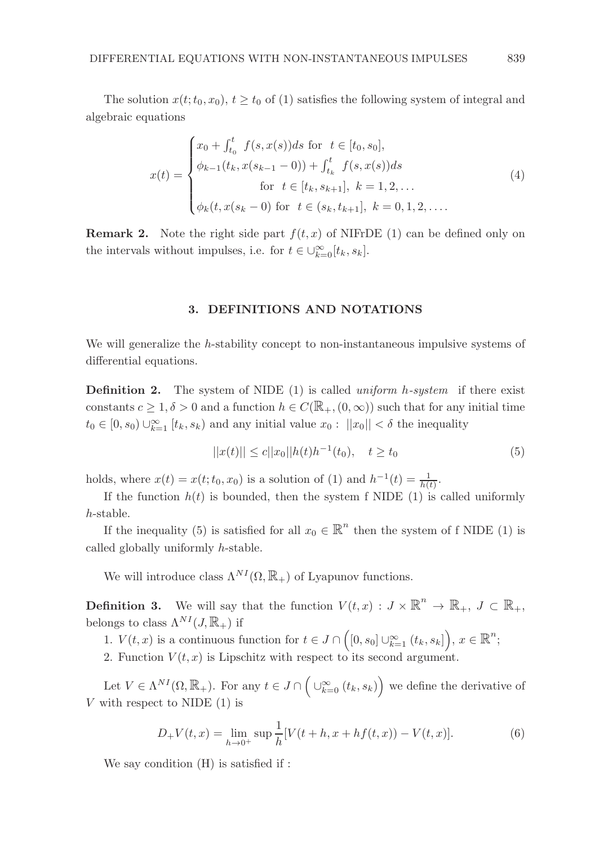The solution  $x(t; t_0, x_0), t \geq t_0$  of (1) satisfies the following system of integral and algebraic equations

$$
x(t) = \begin{cases} x_0 + \int_{t_0}^t f(s, x(s))ds \text{ for } t \in [t_0, s_0], \\ \phi_{k-1}(t_k, x(s_{k-1} - 0)) + \int_{t_k}^t f(s, x(s))ds \\ \text{for } t \in [t_k, s_{k+1}], \ k = 1, 2, ... \\ \phi_k(t, x(s_k - 0) \text{ for } t \in (s_k, t_{k+1}], \ k = 0, 1, 2, .... \end{cases}
$$
(4)

**Remark 2.** Note the right side part  $f(t, x)$  of NIFrDE (1) can be defined only on the intervals without impulses, i.e. for  $t \in \bigcup_{k=0}^{\infty} [t_k, s_k]$ .

## 3. DEFINITIONS AND NOTATIONS

We will generalize the h-stability concept to non-instantaneous impulsive systems of differential equations.

**Definition 2.** The system of NIDE (1) is called uniform h-system if there exist constants  $c \geq 1, \delta > 0$  and a function  $h \in C(\mathbb{R}_+, (0, \infty))$  such that for any initial time  $t_0 \in [0, s_0) \cup_{k=1}^{\infty} [t_k, s_k)$  and any initial value  $x_0 : ||x_0|| < \delta$  the inequality

$$
||x(t)|| \le c||x_0||h(t)h^{-1}(t_0), \quad t \ge t_0
$$
\n<sup>(5)</sup>

holds, where  $x(t) = x(t; t_0, x_0)$  is a solution of (1) and  $h^{-1}(t) = \frac{1}{h(t)}$ .

If the function  $h(t)$  is bounded, then the system f NIDE (1) is called uniformly h-stable.

If the inequality (5) is satisfied for all  $x_0 \in \mathbb{R}^n$  then the system of f NIDE (1) is called globally uniformly h-stable.

We will introduce class  $\Lambda^{NI}(\Omega,\mathbb{R}_+)$  of Lyapunov functions.

**Definition 3.** We will say that the function  $V(t,x) : J \times \mathbb{R}^n \to \mathbb{R}_+$ ,  $J \subset \mathbb{R}_+$ , belongs to class  $\Lambda^{NI}(J,\mathbb{R}_+)$  if

1.  $V(t, x)$  is a continuous function for  $t \in J \cap \left( [0, s_0] \cup_{k=1}^{\infty} (t_k, s_k] \right), x \in \mathbb{R}^n$ ;

2. Function  $V(t, x)$  is Lipschitz with respect to its second argument.

Let  $V \in \Lambda^{NI}(\Omega, \mathbb{R}_+)$ . For any  $t \in J \cap \left(\bigcup_{k=0}^{\infty} (t_k, s_k)\right)$  we define the derivative of V with respect to NIDE  $(1)$  is

$$
D_{+}V(t,x) = \lim_{h \to 0^{+}} \sup \frac{1}{h} [V(t+h, x+hf(t, x)) - V(t, x)].
$$
\n(6)

We say condition (H) is satisfied if :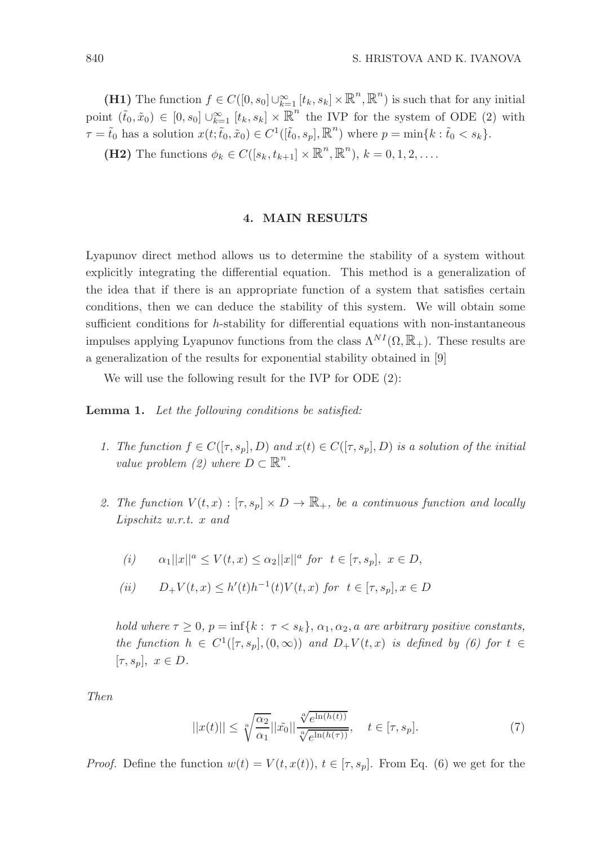(H1) The function  $f \in C([0, s_0] \cup_{k=1}^{\infty} [t_k, s_k] \times \mathbb{R}^n, \mathbb{R}^n)$  is such that for any initial point  $(\tilde{t}_0, \tilde{x}_0) \in [0, s_0] \cup_{k=1}^{\infty} [t_k, s_k] \times \mathbb{R}^n$  the IVP for the system of ODE (2) with  $\tau = \tilde{t}_0$  has a solution  $x(t; \tilde{t}_0, \tilde{x}_0) \in C^1([\tilde{t}_0, s_p], \mathbb{R}^n)$  where  $p = \min\{k : \tilde{t}_0 < s_k\}.$ 

(H2) The functions  $\phi_k \in C([s_k, t_{k+1}] \times \mathbb{R}^n, \mathbb{R}^n)$ ,  $k = 0, 1, 2, \ldots$ .

## 4. MAIN RESULTS

Lyapunov direct method allows us to determine the stability of a system without explicitly integrating the differential equation. This method is a generalization of the idea that if there is an appropriate function of a system that satisfies certain conditions, then we can deduce the stability of this system. We will obtain some sufficient conditions for h-stability for differential equations with non-instantaneous impulses applying Lyapunov functions from the class  $\Lambda^{NI}(\Omega,\mathbb{R}_+)$ . These results are a generalization of the results for exponential stability obtained in [9]

We will use the following result for the IVP for ODE (2):

Lemma 1. Let the following conditions be satisfied:

- 1. The function  $f \in C([\tau, s_p], D)$  and  $x(t) \in C([\tau, s_p], D)$  is a solution of the initial value problem (2) where  $D \subset \mathbb{R}^n$ .
- 2. The function  $V(t, x): [\tau, s_p] \times D \to \mathbb{R}_+$ , be a continuous function and locally Lipschitz w.r.t. x and

(i) 
$$
\alpha_1 ||x||^a \le V(t, x) \le \alpha_2 ||x||^a
$$
 for  $t \in [\tau, s_p]$ ,  $x \in D$ ,

$$
(ii) \qquad D_{+}V(t,x) \le h'(t)h^{-1}(t)V(t,x) \text{ for } t \in [\tau,s_p], x \in D
$$

hold where  $\tau \geq 0$ ,  $p = \inf\{k : \tau \leq s_k\}$ ,  $\alpha_1, \alpha_2, a$  are arbitrary positive constants, the function  $h \in C^1([\tau, s_p], (0, \infty))$  and  $D_+ V(t, x)$  is defined by (6) for  $t \in$  $[\tau, s_p], x \in D.$ 

Then

$$
||x(t)|| \leq \sqrt[\alpha]{\frac{\alpha_2}{\alpha_1}} ||\tilde{x_0}|| \frac{\sqrt[\alpha]{e^{\ln(h(t))}}}{\sqrt[\alpha]{e^{\ln(h(\tau))}}}, \quad t \in [\tau, s_p].
$$
 (7)

*Proof.* Define the function  $w(t) = V(t, x(t))$ ,  $t \in [\tau, s_p]$ . From Eq. (6) we get for the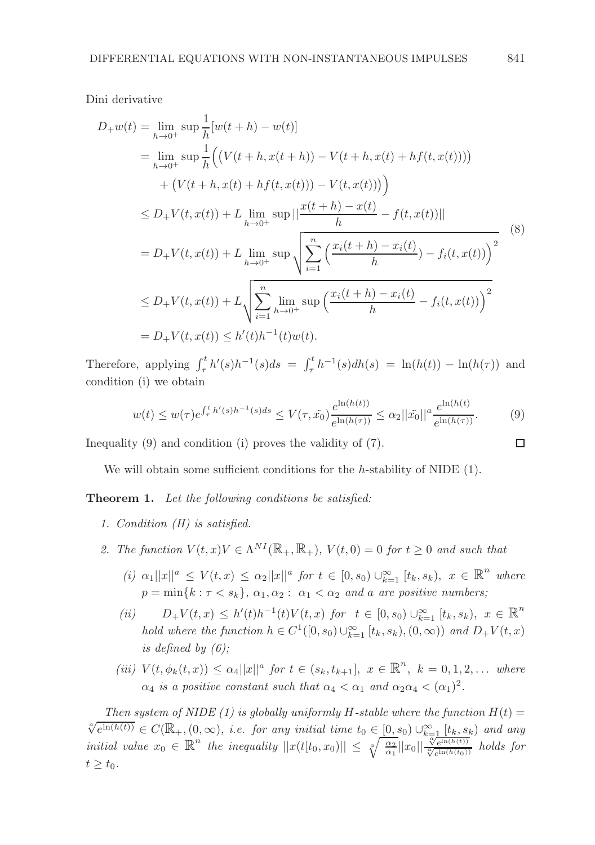Dini derivative

$$
D_{+}w(t) = \lim_{h \to 0^{+}} \sup \frac{1}{h} [w(t+h) - w(t)]
$$
  
\n
$$
= \lim_{h \to 0^{+}} \sup \frac{1}{h} \Big( \big( V(t+h, x(t+h)) - V(t+h, x(t) + hf(t, x(t))) \big) + \big( V(t+h, x(t)) + hf(t, x(t)) \big) - V(t, x(t)) \Big) \Big)
$$
  
\n
$$
\leq D_{+}V(t, x(t)) + L \lim_{h \to 0^{+}} \sup \Big| \frac{x(t+h) - x(t)}{h} - f(t, x(t)) \Big|
$$
  
\n
$$
= D_{+}V(t, x(t)) + L \lim_{h \to 0^{+}} \sup \sqrt{\sum_{i=1}^{n} \Big( \frac{x_i(t+h) - x_i(t)}{h} \Big) - f_i(t, x(t)) \Big)^2}
$$
  
\n
$$
\leq D_{+}V(t, x(t)) + L \sqrt{\sum_{i=1}^{n} \lim_{h \to 0^{+}} \sup \Big( \frac{x_i(t+h) - x_i(t)}{h} - f_i(t, x(t)) \Big)^2}
$$
  
\n
$$
= D_{+}V(t, x(t)) \leq h'(t)h^{-1}(t)w(t).
$$
 (11)

Therefore, applying  $\int_{\tau}^{t} h'(s)h^{-1}(s)ds = \int_{\tau}^{t} h^{-1}(s)dh(s) = \ln(h(t)) - \ln(h(\tau))$  and condition (i) we obtain

$$
w(t) \le w(\tau) e^{\int_{\tau}^{t} h'(s)h^{-1}(s)ds} \le V(\tau, \tilde{x_0}) \frac{e^{\ln(h(t))}}{e^{\ln(h(\tau))}} \le \alpha_2 ||\tilde{x_0}||^a \frac{e^{\ln(h(t))}}{e^{\ln(h(\tau))}}.
$$
 (9)

Inequality (9) and condition (i) proves the validity of (7).

We will obtain some sufficient conditions for the h-stability of NIDE  $(1)$ .

Theorem 1. Let the following conditions be satisfied:

- 1. Condition (H) is satisfied.
- 2. The function  $V(t, x)V \in \Lambda^{NI}(\mathbb{R}_+, \mathbb{R}_+), V(t, 0) = 0$  for  $t \geq 0$  and such that
	- (i)  $\alpha_1 ||x||^a \le V(t,x) \le \alpha_2 ||x||^a$  for  $t \in [0, s_0) \cup_{k=1}^{\infty} [t_k, s_k), x \in \mathbb{R}^n$  where  $p = \min\{k : \tau < s_k\}, \, \alpha_1, \alpha_2 : \alpha_1 < \alpha_2 \text{ and a are positive numbers};$
	- (ii)  $D_+V(t,x) \leq h'(t)h^{-1}(t)V(t,x)$  for  $t \in [0, s_0) \cup_{k=1}^{\infty} [t_k, s_k), x \in \mathbb{R}^n$ hold where the function  $h \in C^1([0, s_0) \cup_{k=1}^{\infty} [t_k, s_k), (0, \infty))$  and  $D_+V(t, x)$ is defined by  $(6)$ ;
	- (iii)  $V(t, \phi_k(t, x)) \leq \alpha_4 ||x||^a$  for  $t \in (s_k, t_{k+1}], x \in \mathbb{R}^n, k = 0, 1, 2, ...$  where  $\alpha_4$  is a positive constant such that  $\alpha_4 < \alpha_1$  and  $\alpha_2 \alpha_4 < (\alpha_1)^2$ .

Then system of NIDE (1) is globally uniformly H-stable where the function  $H(t)$  =  $\sqrt[\alpha]{e^{\ln(h(t))}} \in C(\mathbb{R}_+,(0,\infty))$ , i.e. for any initial time  $t_0 \in [0,s_0) \cup_{k=1}^{\infty} [t_k,s_k)$  and any initial value  $x_0 \in \mathbb{R}^n$  the inequality  $||x(t[t_0,x_0)|| \leq \sqrt[n]{\frac{\alpha_2}{\alpha_1}||x_0|| \frac{\sqrt[n]{e^{\ln(h(t_0))}}}{\sqrt[n]{e^{\ln(h(t_0))}}}$  holds for  $t \geq t_0$ .

 $\Box$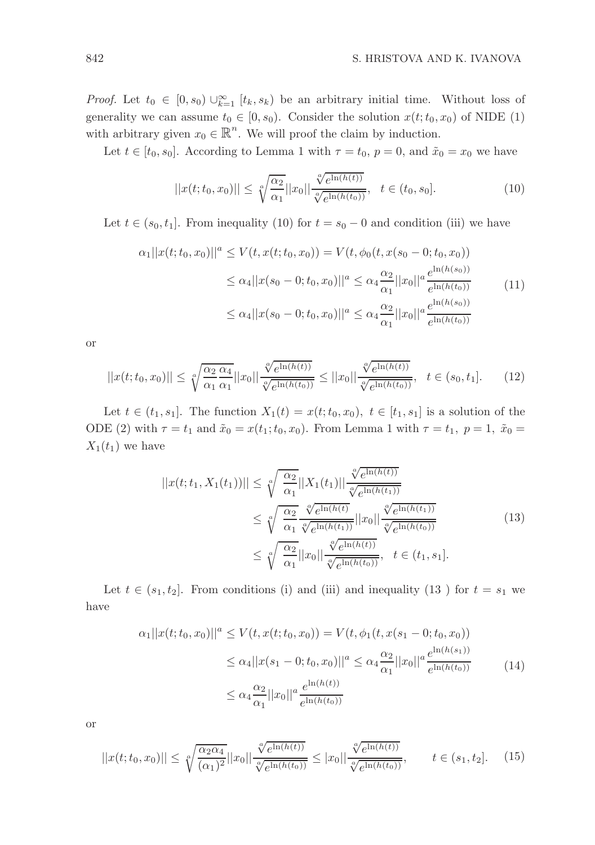*Proof.* Let  $t_0 \in [0, s_0) \cup_{k=1}^{\infty} [t_k, s_k]$  be an arbitrary initial time. Without loss of generality we can assume  $t_0 \in [0, s_0)$ . Consider the solution  $x(t; t_0, x_0)$  of NIDE (1) with arbitrary given  $x_0 \in \mathbb{R}^n$ . We will proof the claim by induction.

Let  $t \in [t_0, s_0]$ . According to Lemma 1 with  $\tau = t_0$ ,  $p = 0$ , and  $\tilde{x}_0 = x_0$  we have

$$
||x(t;t_0,x_0)|| \leq \sqrt[\alpha]{\frac{\alpha_2}{\alpha_1}} ||x_0|| \frac{\sqrt[\alpha]{e^{\ln(h(t))}}}{\sqrt[\alpha]{e^{\ln(h(t_0))}}}, \quad t \in (t_0, s_0].
$$
 (10)

Let  $t \in (s_0, t_1]$ . From inequality (10) for  $t = s_0 - 0$  and condition (iii) we have

$$
\alpha_1 ||x(t; t_0, x_0)||^a \le V(t, x(t; t_0, x_0)) = V(t, \phi_0(t, x(s_0 - 0; t_0, x_0))
$$
  
\n
$$
\le \alpha_4 ||x(s_0 - 0; t_0, x_0)||^a \le \alpha_4 \frac{\alpha_2}{\alpha_1} ||x_0||^a \frac{e^{\ln(h(s_0))}}{e^{\ln(h(t_0))}}
$$
(11)  
\n
$$
\le \alpha_4 ||x(s_0 - 0; t_0, x_0)||^a \le \alpha_4 \frac{\alpha_2}{\alpha_1} ||x_0||^a \frac{e^{\ln(h(s_0))}}{e^{\ln(h(t_0))}}
$$

or

$$
||x(t;t_0,x_0)|| \leq \sqrt[\alpha]{\frac{\alpha_2}{\alpha_1}} \frac{\alpha_4}{\alpha_1} ||x_0|| \frac{\sqrt[\alpha]{e^{\ln(h(t))}}}{\sqrt[\alpha]{e^{\ln(h(t_0))}}} \leq ||x_0|| \frac{\sqrt[\alpha]{e^{\ln(h(t))}}}{\sqrt[\alpha]{e^{\ln(h(t_0))}}}, \quad t \in (s_0, t_1].
$$
 (12)

Let  $t \in (t_1, s_1]$ . The function  $X_1(t) = x(t; t_0, x_0)$ ,  $t \in [t_1, s_1]$  is a solution of the ODE (2) with  $\tau = t_1$  and  $\tilde{x}_0 = x(t_1; t_0, x_0)$ . From Lemma 1 with  $\tau = t_1$ ,  $p = 1$ ,  $\tilde{x}_0 =$  $X_1(t_1)$  we have

$$
||x(t; t_1, X_1(t_1))|| \leq \sqrt[\alpha]{\frac{\alpha_2}{\alpha_1}} ||X_1(t_1)|| \frac{\sqrt[\alpha]{e^{\ln(h(t))}}}{\sqrt[\alpha]{e^{\ln(h(t_1))}}}
$$
  
\n
$$
\leq \sqrt[\alpha]{\frac{\alpha_2}{\alpha_1}} \frac{\sqrt[\alpha]{e^{\ln(h(t))}}}{\sqrt[\alpha]{e^{\ln(h(t_1))}}} ||x_0|| \frac{\sqrt[\alpha]{e^{\ln(h(t_1))}}}{\sqrt[\alpha]{e^{\ln(h(t_0))}}}
$$
  
\n
$$
\leq \sqrt[\alpha]{\frac{\alpha_2}{\alpha_1}} ||x_0|| \frac{\sqrt[\alpha]{e^{\ln(h(t_1))}}}{\sqrt[\alpha]{e^{\ln(h(t_0))}}}, \quad t \in (t_1, s_1].
$$
\n(13)

Let  $t \in (s_1, t_2]$ . From conditions (i) and (iii) and inequality (13) for  $t = s_1$  we have

$$
\alpha_1 ||x(t; t_0, x_0)||^a \le V(t, x(t; t_0, x_0)) = V(t, \phi_1(t, x(s_1 - 0; t_0, x_0))
$$
  
\n
$$
\le \alpha_4 ||x(s_1 - 0; t_0, x_0)||^a \le \alpha_4 \frac{\alpha_2}{\alpha_1} ||x_0||^a \frac{e^{\ln(h(s_1))}}{e^{\ln(h(t_0))}}
$$
\n
$$
\le \alpha_4 \frac{\alpha_2}{\alpha_1} ||x_0||^a \frac{e^{\ln(h(t))}}{e^{\ln(h(t_0))}}
$$
\n(14)

or

$$
||x(t;t_0,x_0)|| \leq \sqrt[\alpha]{\frac{\alpha_2 \alpha_4}{(\alpha_1)^2}} ||x_0|| \frac{\sqrt[\alpha]{e^{\ln(h(t))}}}{\sqrt[\alpha]{e^{\ln(h(t_0))}}} \leq |x_0|| \frac{\sqrt[\alpha]{e^{\ln(h(t))}}}{\sqrt[\alpha]{e^{\ln(h(t_0))}}}, \qquad t \in (s_1, t_2]. \tag{15}
$$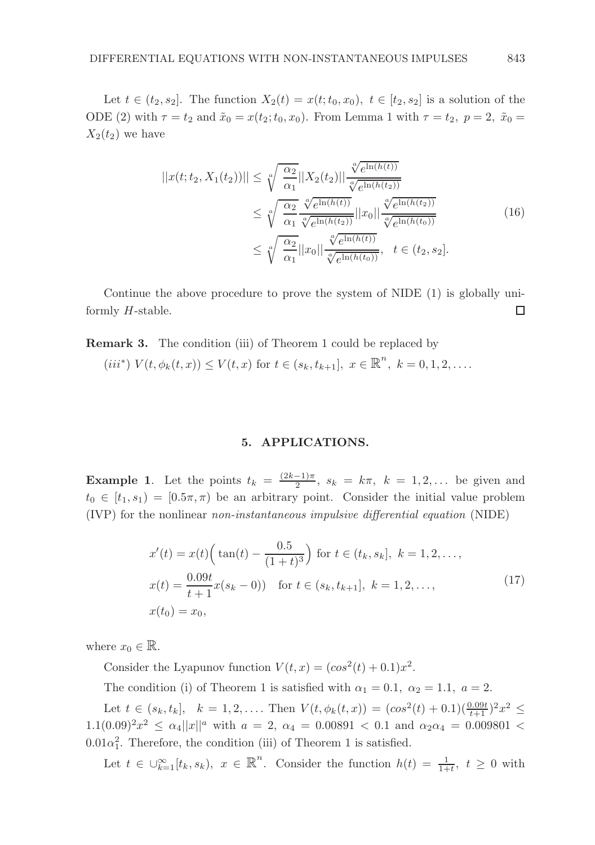Let  $t \in (t_2, s_2]$ . The function  $X_2(t) = x(t; t_0, x_0), t \in [t_2, s_2]$  is a solution of the ODE (2) with  $\tau = t_2$  and  $\tilde{x}_0 = x(t_2; t_0, x_0)$ . From Lemma 1 with  $\tau = t_2$ ,  $p = 2$ ,  $\tilde{x}_0 =$  $X_2(t_2)$  we have

$$
||x(t; t_2, X_1(t_2))|| \leq \sqrt[\alpha]{\frac{\alpha_2}{\alpha_1}} ||X_2(t_2)|| \frac{\sqrt[\alpha]{e^{\ln(h(t))}}}{\sqrt[\alpha]{e^{\ln(h(t_2))}}}
$$
  

$$
\leq \sqrt[\alpha]{\frac{\alpha_2}{\alpha_1}} \frac{\sqrt[\alpha]{e^{\ln(h(t))}}}{\sqrt[\alpha]{e^{\ln(h(t_2))}}} ||x_0|| \frac{\sqrt[\alpha]{e^{\ln(h(t_2))}}}{\sqrt[\alpha]{e^{\ln(h(t_0))}}}
$$
  

$$
\leq \sqrt[\alpha]{\frac{\alpha_2}{\alpha_1}} ||x_0|| \frac{\sqrt[\alpha]{e^{\ln(h(t_2))}}}{\sqrt[\alpha]{e^{\ln(h(t_0))}}}, \quad t \in (t_2, s_2].
$$
 (16)

Continue the above procedure to prove the system of NIDE (1) is globally uniformly H-stable.  $\Box$ 

Remark 3. The condition (iii) of Theorem 1 could be replaced by

(iii\*)  $V(t, \phi_k(t, x)) \leq V(t, x)$  for  $t \in (s_k, t_{k+1}], x \in \mathbb{R}^n, k = 0, 1, 2, \dots$ 

## 5. APPLICATIONS.

**Example 1.** Let the points  $t_k = \frac{(2k-1)\pi}{2}$ ,  $s_k = k\pi$ ,  $k = 1, 2, ...$  be given and  $t_0 \in [t_1, s_1] = [0.5\pi, \pi]$  be an arbitrary point. Consider the initial value problem (IVP) for the nonlinear non-instantaneous impulsive differential equation (NIDE)

$$
x'(t) = x(t) \left( \tan(t) - \frac{0.5}{(1+t)^3} \right) \text{ for } t \in (t_k, s_k], \ k = 1, 2, \dots,
$$
  
\n
$$
x(t) = \frac{0.09t}{t+1} x(s_k - 0) \quad \text{for } t \in (s_k, t_{k+1}], \ k = 1, 2, \dots,
$$
  
\n
$$
x(t_0) = x_0,
$$
\n(17)

where  $x_0 \in \mathbb{R}$ .

Consider the Lyapunov function  $V(t, x) = (\cos^2(t) + 0.1)x^2$ .

The condition (i) of Theorem 1 is satisfied with  $\alpha_1 = 0.1, \ \alpha_2 = 1.1, \ a = 2.$ 

Let  $t \in (s_k, t_k]$ ,  $k = 1, 2, \ldots$  Then  $V(t, \phi_k(t,x)) = (\cos^2(t) + 0.1)(\frac{0.09t}{t+1})^2 x^2 \le$  $1.1(0.09)^2 x^2 \le \alpha_4 ||x||^a$  with  $a = 2$ ,  $\alpha_4 = 0.00891 < 0.1$  and  $\alpha_2 \alpha_4 = 0.009801 <$  $0.01\alpha_1^2$ . Therefore, the condition (iii) of Theorem 1 is satisfied.

Let  $t \in \bigcup_{k=1}^{\infty} [t_k, s_k], x \in \mathbb{R}^n$ . Consider the function  $h(t) = \frac{1}{1+t}, t \geq 0$  with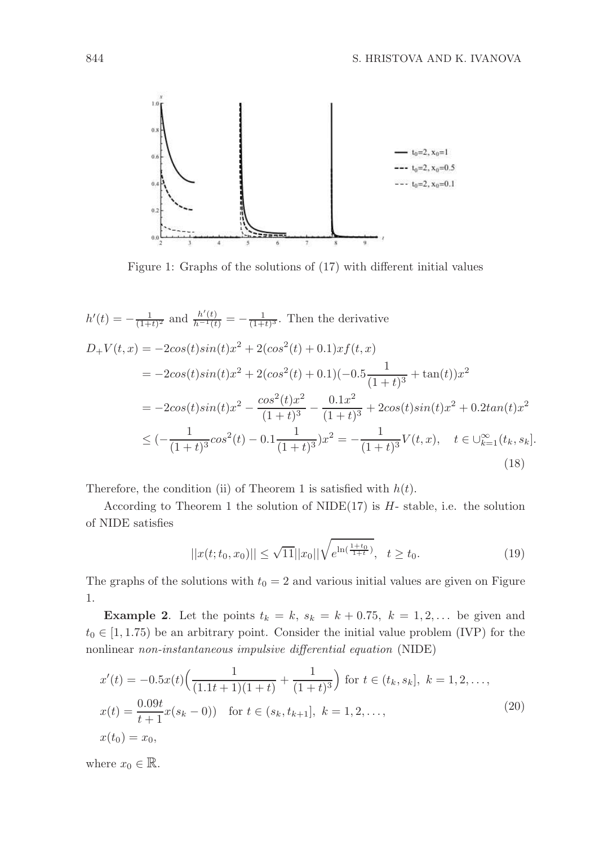

Figure 1: Graphs of the solutions of (17) with different initial values

$$
h'(t) = -\frac{1}{(1+t)^2} \text{ and } \frac{h'(t)}{h^{-1}(t)} = -\frac{1}{(1+t)^3}. \text{ Then the derivative}
$$
  
\n
$$
D_+V(t,x) = -2\cos(t)\sin(t)x^2 + 2(\cos^2(t) + 0.1)xf(t,x)
$$
  
\n
$$
= -2\cos(t)\sin(t)x^2 + 2(\cos^2(t) + 0.1)(-0.5\frac{1}{(1+t)^3} + \tan(t))x^2
$$
  
\n
$$
= -2\cos(t)\sin(t)x^2 - \frac{\cos^2(t)x^2}{(1+t)^3} - \frac{0.1x^2}{(1+t)^3} + 2\cos(t)\sin(t)x^2 + 0.2\tan(t)x^2
$$
  
\n
$$
\leq (-\frac{1}{(1+t)^3}\cos^2(t) - 0.1\frac{1}{(1+t)^3})x^2 = -\frac{1}{(1+t)^3}V(t,x), \quad t \in \bigcup_{k=1}^{\infty} (t_k, s_k].
$$
\n(18)

Therefore, the condition (ii) of Theorem 1 is satisfied with  $h(t)$ .

According to Theorem 1 the solution of NIDE $(17)$  is  $H$ -stable, i.e. the solution of NIDE satisfies

$$
||x(t; t_0, x_0)|| \le \sqrt{11} ||x_0|| \sqrt{e^{\ln(\frac{1+t_0}{1+t})}}, \quad t \ge t_0.
$$
 (19)

The graphs of the solutions with  $t_0 = 2$  and various initial values are given on Figure 1.

**Example 2.** Let the points  $t_k = k$ ,  $s_k = k + 0.75$ ,  $k = 1, 2, \ldots$  be given and  $t_0 \in [1, 1.75)$  be an arbitrary point. Consider the initial value problem (IVP) for the nonlinear non-instantaneous impulsive differential equation (NIDE)

$$
x'(t) = -0.5x(t)\left(\frac{1}{(1.1t+1)(1+t)} + \frac{1}{(1+t)^3}\right) \text{ for } t \in (t_k, s_k], \ k = 1, 2, \dots,
$$
  
\n
$$
x(t) = \frac{0.09t}{t+1}x(s_k - 0) \text{ for } t \in (s_k, t_{k+1}], \ k = 1, 2, \dots,
$$
  
\n
$$
x(t_0) = x_0,
$$
\n(20)

where  $x_0 \in \mathbb{R}$ .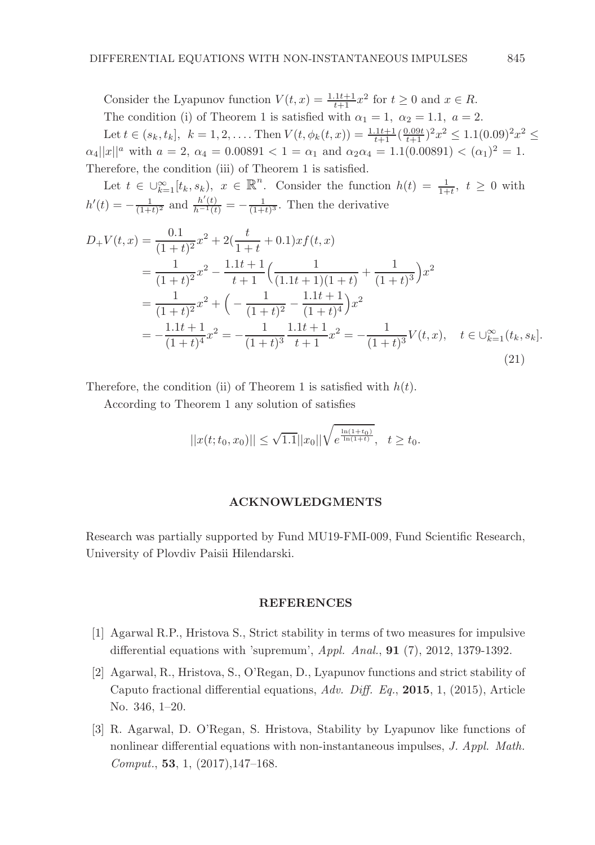Consider the Lyapunov function  $V(t, x) = \frac{1.1t+1}{t+1}x^2$  for  $t \ge 0$  and  $x \in R$ . The condition (i) of Theorem 1 is satisfied with  $\alpha_1 = 1$ ,  $\alpha_2 = 1.1$ ,  $a = 2$ . Let  $t \in (s_k, t_k]$ ,  $k = 1, 2, \ldots$  Then  $V(t, \phi_k(t, x)) = \frac{1.1t + 1}{t+1} (\frac{0.09t}{t+1})^2 x^2 \le 1.1(0.09)^2 x^2 \le$  $\alpha_4||x||^a$  with  $a = 2$ ,  $\alpha_4 = 0.00891 < 1 = \alpha_1$  and  $\alpha_2\alpha_4 = 1.1(0.00891) < (\alpha_1)^2 = 1$ . Therefore, the condition (iii) of Theorem 1 is satisfied.

Let  $t \in \bigcup_{k=1}^{\infty} [t_k, s_k)$ ,  $x \in \mathbb{R}^n$ . Consider the function  $h(t) = \frac{1}{1+t}$ ,  $t \geq 0$  with  $h'(t) = -\frac{1}{(1+t)^2}$  and  $\frac{h'(t)}{h^{-1}(t)} = -\frac{1}{(1+t)^3}$ . Then the derivative

$$
D_{+}V(t,x) = \frac{0.1}{(1+t)^{2}}x^{2} + 2(\frac{t}{1+t} + 0.1)xf(t,x)
$$
  
\n
$$
= \frac{1}{(1+t)^{2}}x^{2} - \frac{1.1t+1}{t+1}(\frac{1}{(1.1t+1)(1+t)} + \frac{1}{(1+t)^{3}})x^{2}
$$
  
\n
$$
= \frac{1}{(1+t)^{2}}x^{2} + \left(-\frac{1}{(1+t)^{2}} - \frac{1.1t+1}{(1+t)^{4}}\right)x^{2}
$$
  
\n
$$
= -\frac{1.1t+1}{(1+t)^{4}}x^{2} = -\frac{1}{(1+t)^{3}}\frac{1.1t+1}{t+1}x^{2} = -\frac{1}{(1+t)^{3}}V(t,x), \quad t \in \bigcup_{k=1}^{\infty} (t_{k}, s_{k}).
$$
\n(21)

Therefore, the condition (ii) of Theorem 1 is satisfied with  $h(t)$ .

According to Theorem 1 any solution of satisfies

$$
||x(t;t_0,x_0)|| \leq \sqrt{1.1}||x_0||\sqrt{e^{\frac{\ln(1+t_0)}{\ln(1+t)}}}, \quad t \geq t_0.
$$

## ACKNOWLEDGMENTS

Research was partially supported by Fund MU19-FMI-009, Fund Scientific Research, University of Plovdiv Paisii Hilendarski.

#### REFERENCES

- [1] Agarwal R.P., Hristova S., Strict stability in terms of two measures for impulsive differential equations with 'supremum', Appl. Anal., 91 (7), 2012, 1379-1392.
- [2] Agarwal, R., Hristova, S., O'Regan, D., Lyapunov functions and strict stability of Caputo fractional differential equations, Adv. Diff. Eq., 2015, 1, (2015), Article No. 346, 1–20.
- [3] R. Agarwal, D. O'Regan, S. Hristova, Stability by Lyapunov like functions of nonlinear differential equations with non-instantaneous impulses, J. Appl. Math. Comput., 53, 1, (2017),147–168.